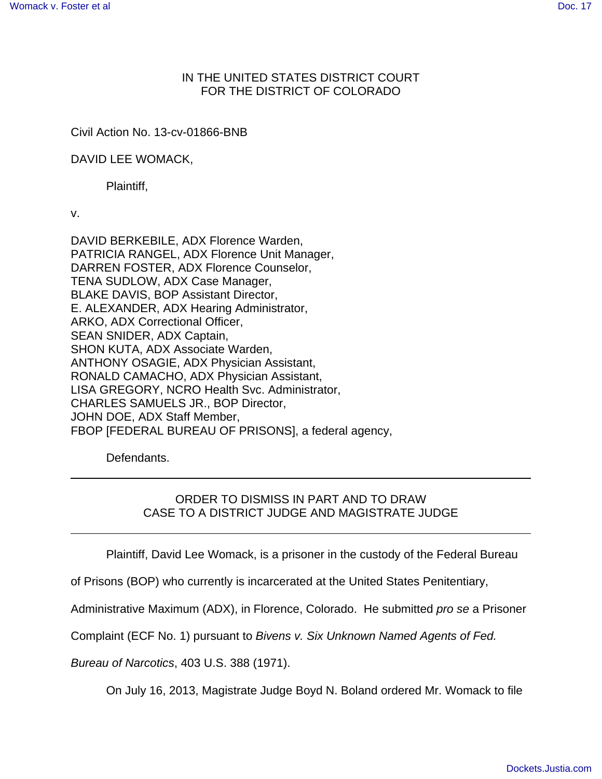## IN THE UNITED STATES DISTRICT COURT FOR THE DISTRICT OF COLORADO

## Civil Action No. 13-cv-01866-BNB

DAVID LEE WOMACK,

Plaintiff,

v.

DAVID BERKEBILE, ADX Florence Warden, PATRICIA RANGEL, ADX Florence Unit Manager, DARREN FOSTER, ADX Florence Counselor, TENA SUDLOW, ADX Case Manager, BLAKE DAVIS, BOP Assistant Director, E. ALEXANDER, ADX Hearing Administrator, ARKO, ADX Correctional Officer, SEAN SNIDER, ADX Captain, SHON KUTA, ADX Associate Warden, ANTHONY OSAGIE, ADX Physician Assistant, RONALD CAMACHO, ADX Physician Assistant, LISA GREGORY, NCRO Health Svc. Administrator, CHARLES SAMUELS JR., BOP Director, JOHN DOE, ADX Staff Member, FBOP [FEDERAL BUREAU OF PRISONS], a federal agency,

Defendants.

# ORDER TO DISMISS IN PART AND TO DRAW CASE TO A DISTRICT JUDGE AND MAGISTRATE JUDGE

Plaintiff, David Lee Womack, is a prisoner in the custody of the Federal Bureau

of Prisons (BOP) who currently is incarcerated at the United States Penitentiary,

Administrative Maximum (ADX), in Florence, Colorado. He submitted pro se a Prisoner

Complaint (ECF No. 1) pursuant to Bivens v. Six Unknown Named Agents of Fed.

Bureau of Narcotics, 403 U.S. 388 (1971).

On July 16, 2013, Magistrate Judge Boyd N. Boland ordered Mr. Womack to file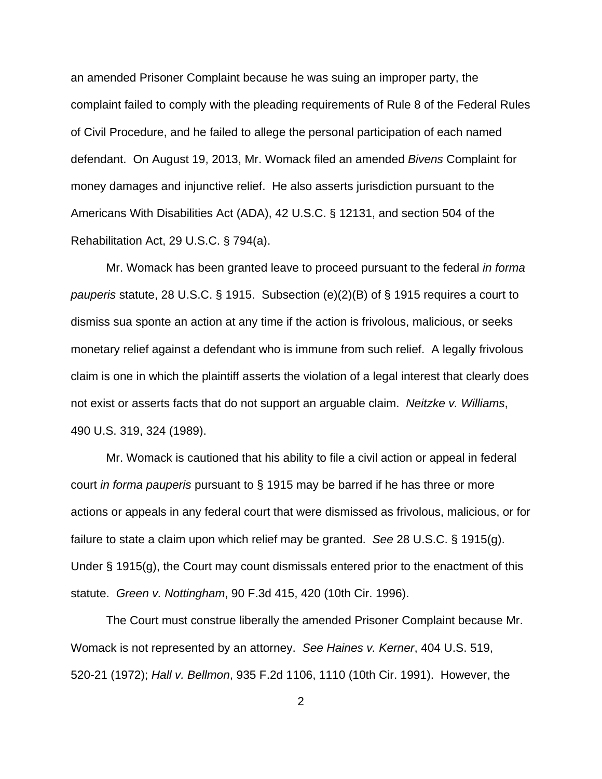an amended Prisoner Complaint because he was suing an improper party, the complaint failed to comply with the pleading requirements of Rule 8 of the Federal Rules of Civil Procedure, and he failed to allege the personal participation of each named defendant. On August 19, 2013, Mr. Womack filed an amended Bivens Complaint for money damages and injunctive relief. He also asserts jurisdiction pursuant to the Americans With Disabilities Act (ADA), 42 U.S.C. § 12131, and section 504 of the Rehabilitation Act, 29 U.S.C. § 794(a).

Mr. Womack has been granted leave to proceed pursuant to the federal in forma pauperis statute, 28 U.S.C. § 1915. Subsection (e)(2)(B) of § 1915 requires a court to dismiss sua sponte an action at any time if the action is frivolous, malicious, or seeks monetary relief against a defendant who is immune from such relief. A legally frivolous claim is one in which the plaintiff asserts the violation of a legal interest that clearly does not exist or asserts facts that do not support an arguable claim. Neitzke v. Williams, 490 U.S. 319, 324 (1989).

Mr. Womack is cautioned that his ability to file a civil action or appeal in federal court in forma pauperis pursuant to § 1915 may be barred if he has three or more actions or appeals in any federal court that were dismissed as frivolous, malicious, or for failure to state a claim upon which relief may be granted. See 28 U.S.C. § 1915(g). Under § 1915(g), the Court may count dismissals entered prior to the enactment of this statute. Green v. Nottingham, 90 F.3d 415, 420 (10th Cir. 1996).

The Court must construe liberally the amended Prisoner Complaint because Mr. Womack is not represented by an attorney. See Haines v. Kerner, 404 U.S. 519, 520-21 (1972); Hall v. Bellmon, 935 F.2d 1106, 1110 (10th Cir. 1991). However, the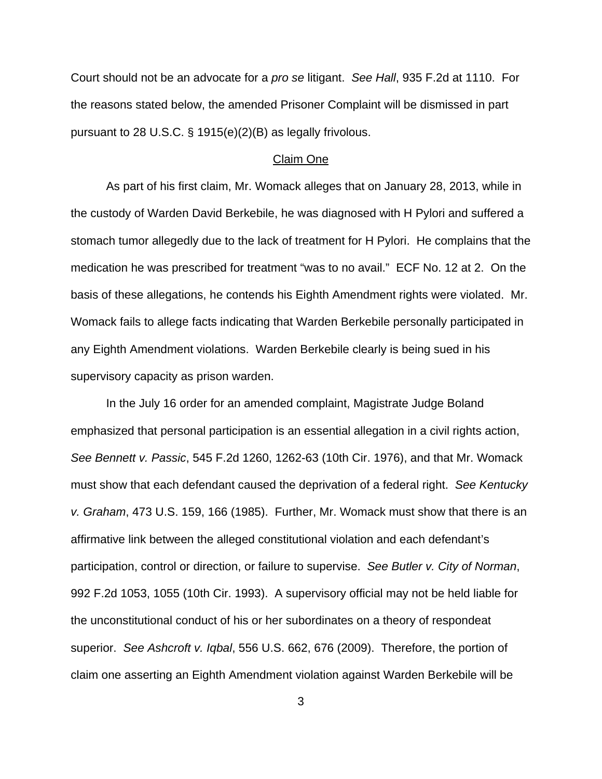Court should not be an advocate for a pro se litigant. See Hall, 935 F.2d at 1110. For the reasons stated below, the amended Prisoner Complaint will be dismissed in part pursuant to 28 U.S.C. § 1915(e)(2)(B) as legally frivolous.

### Claim One

As part of his first claim, Mr. Womack alleges that on January 28, 2013, while in the custody of Warden David Berkebile, he was diagnosed with H Pylori and suffered a stomach tumor allegedly due to the lack of treatment for H Pylori. He complains that the medication he was prescribed for treatment "was to no avail." ECF No. 12 at 2. On the basis of these allegations, he contends his Eighth Amendment rights were violated. Mr. Womack fails to allege facts indicating that Warden Berkebile personally participated in any Eighth Amendment violations. Warden Berkebile clearly is being sued in his supervisory capacity as prison warden.

In the July 16 order for an amended complaint, Magistrate Judge Boland emphasized that personal participation is an essential allegation in a civil rights action, See Bennett v. Passic, 545 F.2d 1260, 1262-63 (10th Cir. 1976), and that Mr. Womack must show that each defendant caused the deprivation of a federal right. See Kentucky v. Graham, 473 U.S. 159, 166 (1985). Further, Mr. Womack must show that there is an affirmative link between the alleged constitutional violation and each defendant's participation, control or direction, or failure to supervise. See Butler v. City of Norman, 992 F.2d 1053, 1055 (10th Cir. 1993). A supervisory official may not be held liable for the unconstitutional conduct of his or her subordinates on a theory of respondeat superior. See Ashcroft v. Iqbal, 556 U.S. 662, 676 (2009). Therefore, the portion of claim one asserting an Eighth Amendment violation against Warden Berkebile will be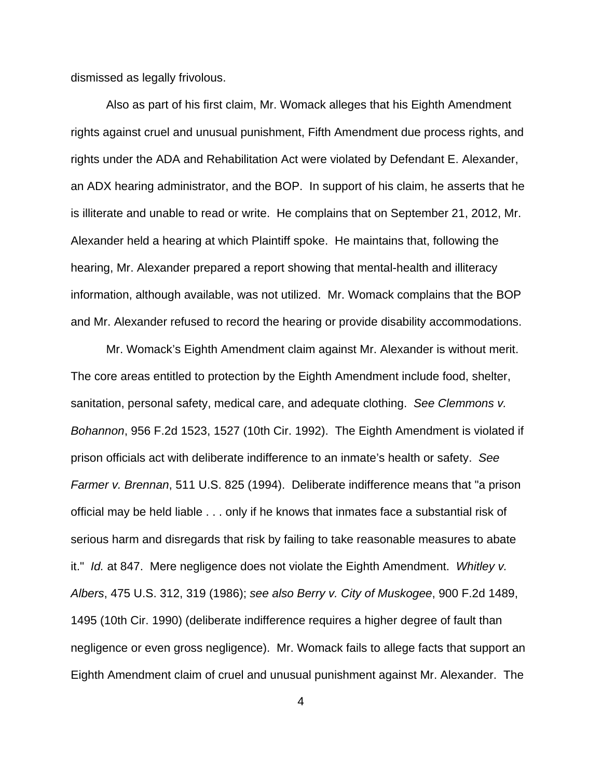dismissed as legally frivolous.

Also as part of his first claim, Mr. Womack alleges that his Eighth Amendment rights against cruel and unusual punishment, Fifth Amendment due process rights, and rights under the ADA and Rehabilitation Act were violated by Defendant E. Alexander, an ADX hearing administrator, and the BOP. In support of his claim, he asserts that he is illiterate and unable to read or write. He complains that on September 21, 2012, Mr. Alexander held a hearing at which Plaintiff spoke. He maintains that, following the hearing, Mr. Alexander prepared a report showing that mental-health and illiteracy information, although available, was not utilized. Mr. Womack complains that the BOP and Mr. Alexander refused to record the hearing or provide disability accommodations.

Mr. Womack's Eighth Amendment claim against Mr. Alexander is without merit. The core areas entitled to protection by the Eighth Amendment include food, shelter, sanitation, personal safety, medical care, and adequate clothing. See Clemmons v. Bohannon, 956 F.2d 1523, 1527 (10th Cir. 1992). The Eighth Amendment is violated if prison officials act with deliberate indifference to an inmate's health or safety. See Farmer v. Brennan, 511 U.S. 825 (1994). Deliberate indifference means that "a prison official may be held liable . . . only if he knows that inmates face a substantial risk of serious harm and disregards that risk by failing to take reasonable measures to abate it." Id. at 847. Mere negligence does not violate the Eighth Amendment. Whitley v. Albers, 475 U.S. 312, 319 (1986); see also Berry v. City of Muskogee, 900 F.2d 1489, 1495 (10th Cir. 1990) (deliberate indifference requires a higher degree of fault than negligence or even gross negligence). Mr. Womack fails to allege facts that support an Eighth Amendment claim of cruel and unusual punishment against Mr. Alexander. The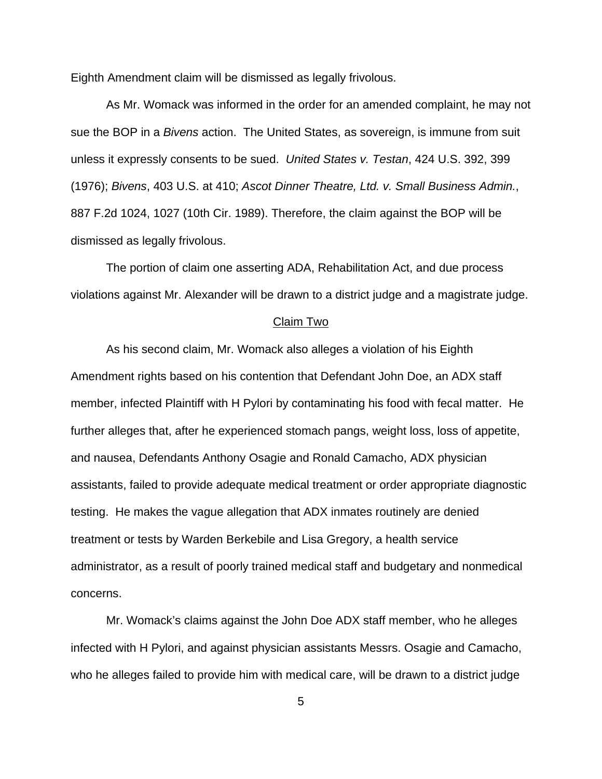Eighth Amendment claim will be dismissed as legally frivolous.

As Mr. Womack was informed in the order for an amended complaint, he may not sue the BOP in a Bivens action. The United States, as sovereign, is immune from suit unless it expressly consents to be sued. United States v. Testan, 424 U.S. 392, 399 (1976); Bivens, 403 U.S. at 410; Ascot Dinner Theatre, Ltd. v. Small Business Admin., 887 F.2d 1024, 1027 (10th Cir. 1989). Therefore, the claim against the BOP will be dismissed as legally frivolous.

The portion of claim one asserting ADA, Rehabilitation Act, and due process violations against Mr. Alexander will be drawn to a district judge and a magistrate judge.

#### Claim Two

As his second claim, Mr. Womack also alleges a violation of his Eighth Amendment rights based on his contention that Defendant John Doe, an ADX staff member, infected Plaintiff with H Pylori by contaminating his food with fecal matter. He further alleges that, after he experienced stomach pangs, weight loss, loss of appetite, and nausea, Defendants Anthony Osagie and Ronald Camacho, ADX physician assistants, failed to provide adequate medical treatment or order appropriate diagnostic testing. He makes the vague allegation that ADX inmates routinely are denied treatment or tests by Warden Berkebile and Lisa Gregory, a health service administrator, as a result of poorly trained medical staff and budgetary and nonmedical concerns.

Mr. Womack's claims against the John Doe ADX staff member, who he alleges infected with H Pylori, and against physician assistants Messrs. Osagie and Camacho, who he alleges failed to provide him with medical care, will be drawn to a district judge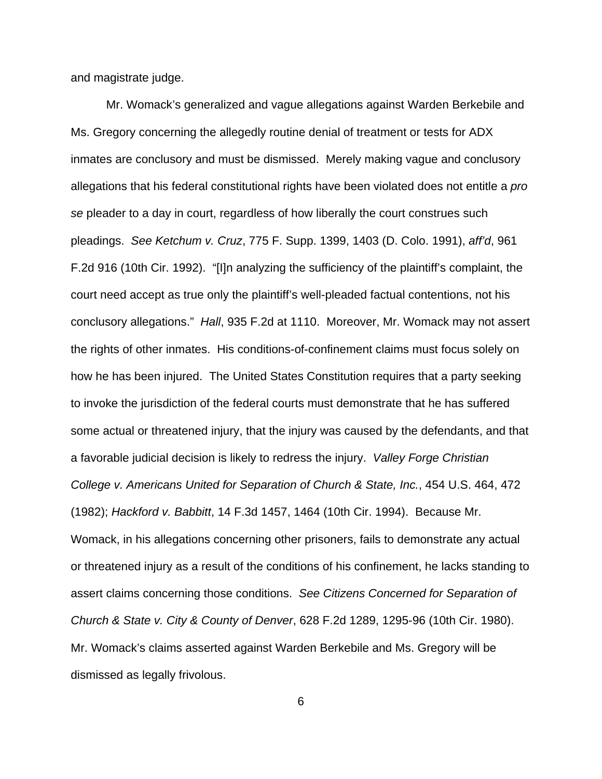and magistrate judge.

Mr. Womack's generalized and vague allegations against Warden Berkebile and Ms. Gregory concerning the allegedly routine denial of treatment or tests for ADX inmates are conclusory and must be dismissed. Merely making vague and conclusory allegations that his federal constitutional rights have been violated does not entitle a pro se pleader to a day in court, regardless of how liberally the court construes such pleadings. See Ketchum v. Cruz, 775 F. Supp. 1399, 1403 (D. Colo. 1991), aff'd, 961 F.2d 916 (10th Cir. 1992). "[I]n analyzing the sufficiency of the plaintiff's complaint, the court need accept as true only the plaintiff's well-pleaded factual contentions, not his conclusory allegations." Hall, 935 F.2d at 1110. Moreover, Mr. Womack may not assert the rights of other inmates. His conditions-of-confinement claims must focus solely on how he has been injured. The United States Constitution requires that a party seeking to invoke the jurisdiction of the federal courts must demonstrate that he has suffered some actual or threatened injury, that the injury was caused by the defendants, and that a favorable judicial decision is likely to redress the injury. Valley Forge Christian College v. Americans United for Separation of Church & State, Inc., 454 U.S. 464, 472 (1982); Hackford v. Babbitt, 14 F.3d 1457, 1464 (10th Cir. 1994). Because Mr. Womack, in his allegations concerning other prisoners, fails to demonstrate any actual or threatened injury as a result of the conditions of his confinement, he lacks standing to assert claims concerning those conditions. See Citizens Concerned for Separation of Church & State v. City & County of Denver, 628 F.2d 1289, 1295-96 (10th Cir. 1980). Mr. Womack's claims asserted against Warden Berkebile and Ms. Gregory will be dismissed as legally frivolous.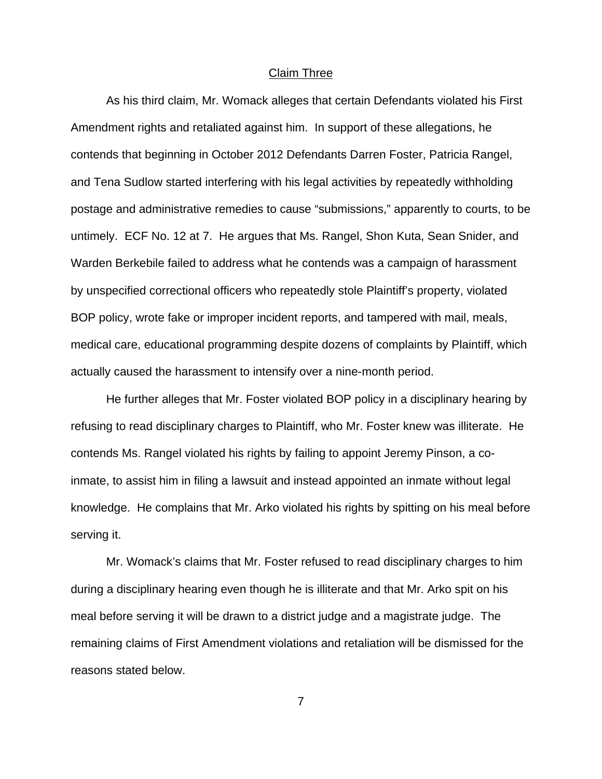### Claim Three

As his third claim, Mr. Womack alleges that certain Defendants violated his First Amendment rights and retaliated against him. In support of these allegations, he contends that beginning in October 2012 Defendants Darren Foster, Patricia Rangel, and Tena Sudlow started interfering with his legal activities by repeatedly withholding postage and administrative remedies to cause "submissions," apparently to courts, to be untimely. ECF No. 12 at 7. He argues that Ms. Rangel, Shon Kuta, Sean Snider, and Warden Berkebile failed to address what he contends was a campaign of harassment by unspecified correctional officers who repeatedly stole Plaintiff's property, violated BOP policy, wrote fake or improper incident reports, and tampered with mail, meals, medical care, educational programming despite dozens of complaints by Plaintiff, which actually caused the harassment to intensify over a nine-month period.

He further alleges that Mr. Foster violated BOP policy in a disciplinary hearing by refusing to read disciplinary charges to Plaintiff, who Mr. Foster knew was illiterate. He contends Ms. Rangel violated his rights by failing to appoint Jeremy Pinson, a coinmate, to assist him in filing a lawsuit and instead appointed an inmate without legal knowledge. He complains that Mr. Arko violated his rights by spitting on his meal before serving it.

Mr. Womack's claims that Mr. Foster refused to read disciplinary charges to him during a disciplinary hearing even though he is illiterate and that Mr. Arko spit on his meal before serving it will be drawn to a district judge and a magistrate judge. The remaining claims of First Amendment violations and retaliation will be dismissed for the reasons stated below.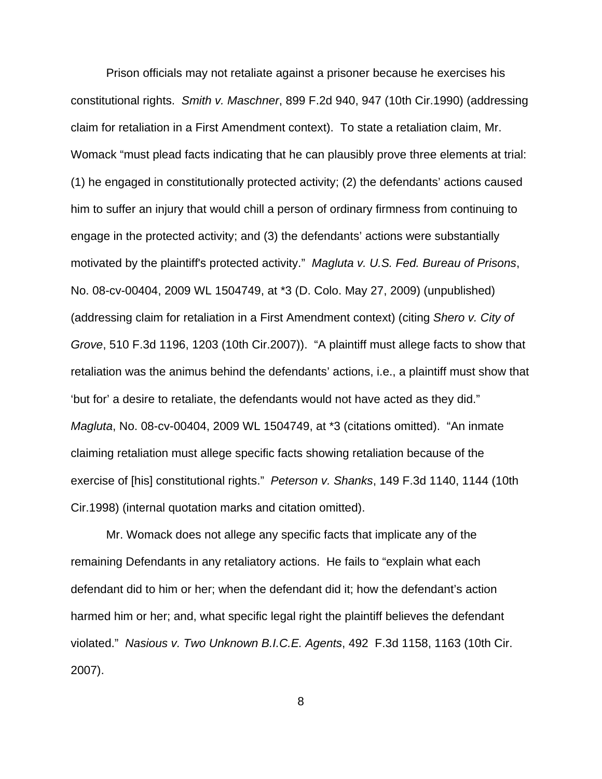Prison officials may not retaliate against a prisoner because he exercises his constitutional rights. Smith v. Maschner, 899 F.2d 940, 947 (10th Cir.1990) (addressing claim for retaliation in a First Amendment context). To state a retaliation claim, Mr. Womack "must plead facts indicating that he can plausibly prove three elements at trial: (1) he engaged in constitutionally protected activity; (2) the defendants' actions caused him to suffer an injury that would chill a person of ordinary firmness from continuing to engage in the protected activity; and (3) the defendants' actions were substantially motivated by the plaintiff's protected activity." Magluta v. U.S. Fed. Bureau of Prisons, No. 08-cv-00404, 2009 WL 1504749, at \*3 (D. Colo. May 27, 2009) (unpublished) (addressing claim for retaliation in a First Amendment context) (citing Shero v. City of Grove, 510 F.3d 1196, 1203 (10th Cir.2007)). "A plaintiff must allege facts to show that retaliation was the animus behind the defendants' actions, i.e., a plaintiff must show that 'but for' a desire to retaliate, the defendants would not have acted as they did." Magluta, No. 08-cv-00404, 2009 WL 1504749, at \*3 (citations omitted). "An inmate claiming retaliation must allege specific facts showing retaliation because of the exercise of [his] constitutional rights." Peterson v. Shanks, 149 F.3d 1140, 1144 (10th Cir.1998) (internal quotation marks and citation omitted).

Mr. Womack does not allege any specific facts that implicate any of the remaining Defendants in any retaliatory actions. He fails to "explain what each defendant did to him or her; when the defendant did it; how the defendant's action harmed him or her; and, what specific legal right the plaintiff believes the defendant violated." Nasious v. Two Unknown B.I.C.E. Agents, 492 F.3d 1158, 1163 (10th Cir. 2007).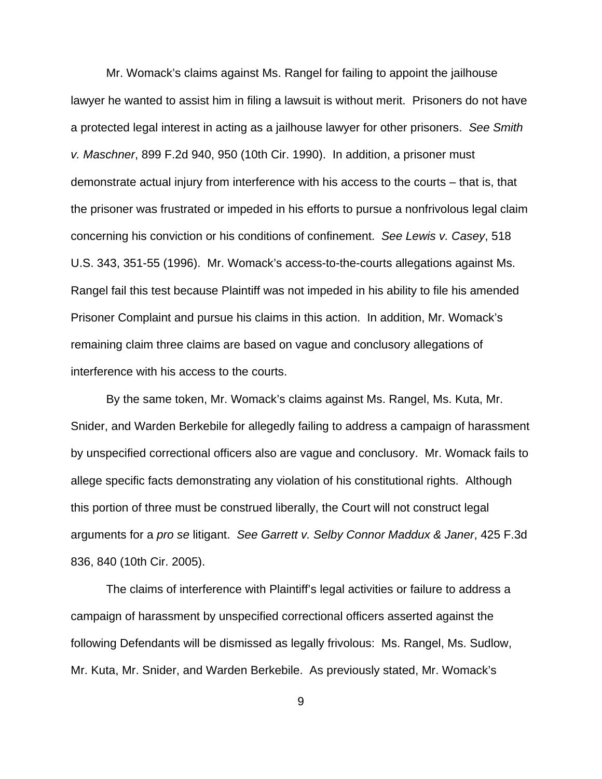Mr. Womack's claims against Ms. Rangel for failing to appoint the jailhouse lawyer he wanted to assist him in filing a lawsuit is without merit. Prisoners do not have a protected legal interest in acting as a jailhouse lawyer for other prisoners. See Smith v. Maschner, 899 F.2d 940, 950 (10th Cir. 1990). In addition, a prisoner must demonstrate actual injury from interference with his access to the courts – that is, that the prisoner was frustrated or impeded in his efforts to pursue a nonfrivolous legal claim concerning his conviction or his conditions of confinement. See Lewis v. Casey, 518 U.S. 343, 351-55 (1996). Mr. Womack's access-to-the-courts allegations against Ms. Rangel fail this test because Plaintiff was not impeded in his ability to file his amended Prisoner Complaint and pursue his claims in this action. In addition, Mr. Womack's remaining claim three claims are based on vague and conclusory allegations of interference with his access to the courts.

By the same token, Mr. Womack's claims against Ms. Rangel, Ms. Kuta, Mr. Snider, and Warden Berkebile for allegedly failing to address a campaign of harassment by unspecified correctional officers also are vague and conclusory. Mr. Womack fails to allege specific facts demonstrating any violation of his constitutional rights. Although this portion of three must be construed liberally, the Court will not construct legal arguments for a pro se litigant. See Garrett v. Selby Connor Maddux & Janer, 425 F.3d 836, 840 (10th Cir. 2005).

The claims of interference with Plaintiff's legal activities or failure to address a campaign of harassment by unspecified correctional officers asserted against the following Defendants will be dismissed as legally frivolous: Ms. Rangel, Ms. Sudlow, Mr. Kuta, Mr. Snider, and Warden Berkebile. As previously stated, Mr. Womack's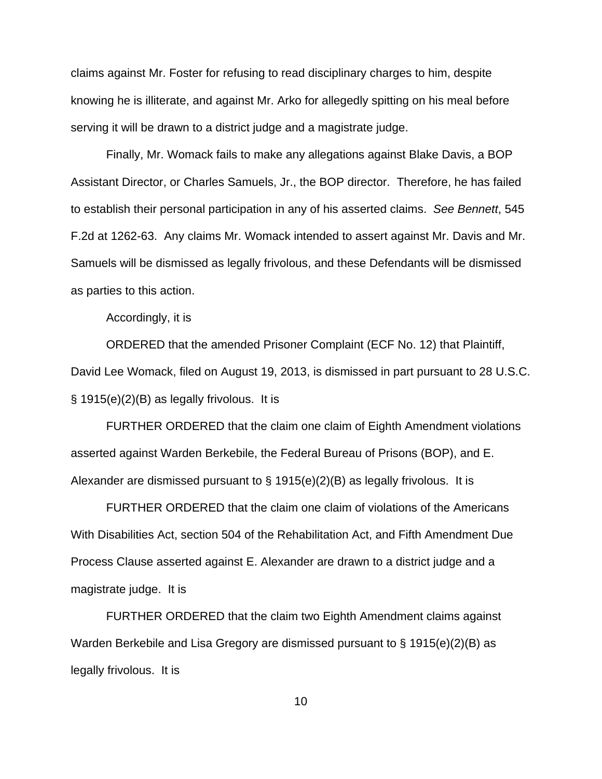claims against Mr. Foster for refusing to read disciplinary charges to him, despite knowing he is illiterate, and against Mr. Arko for allegedly spitting on his meal before serving it will be drawn to a district judge and a magistrate judge.

Finally, Mr. Womack fails to make any allegations against Blake Davis, a BOP Assistant Director, or Charles Samuels, Jr., the BOP director. Therefore, he has failed to establish their personal participation in any of his asserted claims. See Bennett, 545 F.2d at 1262-63. Any claims Mr. Womack intended to assert against Mr. Davis and Mr. Samuels will be dismissed as legally frivolous, and these Defendants will be dismissed as parties to this action.

Accordingly, it is

ORDERED that the amended Prisoner Complaint (ECF No. 12) that Plaintiff, David Lee Womack, filed on August 19, 2013, is dismissed in part pursuant to 28 U.S.C. § 1915(e)(2)(B) as legally frivolous. It is

FURTHER ORDERED that the claim one claim of Eighth Amendment violations asserted against Warden Berkebile, the Federal Bureau of Prisons (BOP), and E. Alexander are dismissed pursuant to § 1915(e)(2)(B) as legally frivolous. It is

FURTHER ORDERED that the claim one claim of violations of the Americans With Disabilities Act, section 504 of the Rehabilitation Act, and Fifth Amendment Due Process Clause asserted against E. Alexander are drawn to a district judge and a magistrate judge. It is

FURTHER ORDERED that the claim two Eighth Amendment claims against Warden Berkebile and Lisa Gregory are dismissed pursuant to § 1915(e)(2)(B) as legally frivolous. It is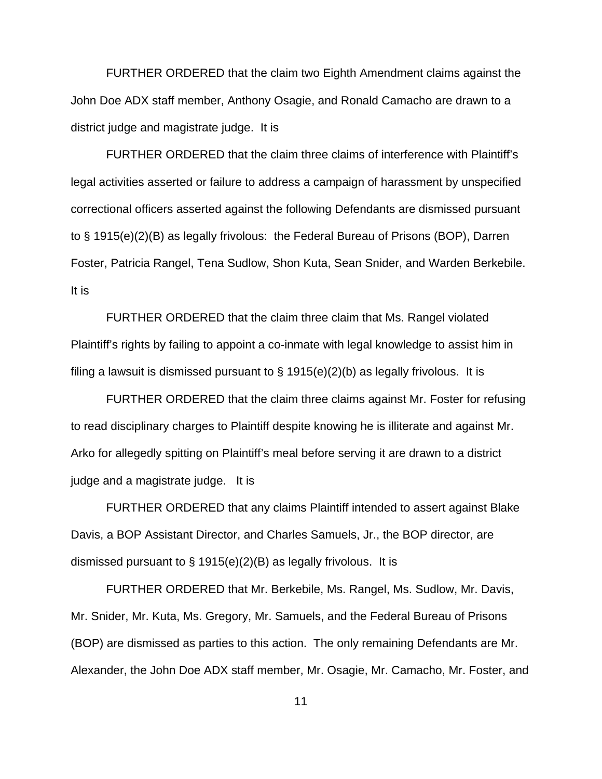FURTHER ORDERED that the claim two Eighth Amendment claims against the John Doe ADX staff member, Anthony Osagie, and Ronald Camacho are drawn to a district judge and magistrate judge. It is

FURTHER ORDERED that the claim three claims of interference with Plaintiff's legal activities asserted or failure to address a campaign of harassment by unspecified correctional officers asserted against the following Defendants are dismissed pursuant to § 1915(e)(2)(B) as legally frivolous: the Federal Bureau of Prisons (BOP), Darren Foster, Patricia Rangel, Tena Sudlow, Shon Kuta, Sean Snider, and Warden Berkebile. It is

FURTHER ORDERED that the claim three claim that Ms. Rangel violated Plaintiff's rights by failing to appoint a co-inmate with legal knowledge to assist him in filing a lawsuit is dismissed pursuant to § 1915(e)(2)(b) as legally frivolous. It is

FURTHER ORDERED that the claim three claims against Mr. Foster for refusing to read disciplinary charges to Plaintiff despite knowing he is illiterate and against Mr. Arko for allegedly spitting on Plaintiff's meal before serving it are drawn to a district judge and a magistrate judge. It is

FURTHER ORDERED that any claims Plaintiff intended to assert against Blake Davis, a BOP Assistant Director, and Charles Samuels, Jr., the BOP director, are dismissed pursuant to § 1915(e)(2)(B) as legally frivolous. It is

FURTHER ORDERED that Mr. Berkebile, Ms. Rangel, Ms. Sudlow, Mr. Davis, Mr. Snider, Mr. Kuta, Ms. Gregory, Mr. Samuels, and the Federal Bureau of Prisons (BOP) are dismissed as parties to this action. The only remaining Defendants are Mr. Alexander, the John Doe ADX staff member, Mr. Osagie, Mr. Camacho, Mr. Foster, and